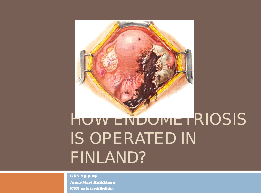

## HUW ENDUMETRIOSIS IS OPERATED IN FINLAND?

GKS 25.9.09 Anna-Mari Heikkinen KYS naistenklinikka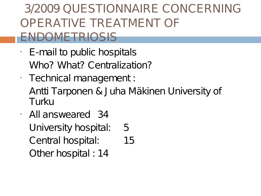#### 3/2009 QUESTIONNAIRE CONCERNING OPERATIVE TREATMENT OF ENDOMETRIOSIS

- E-mail to public hospitals Who? What? Centralization?
- Technical management : Antti Tarponen & J uha Mäkinen University of Turku
- All answeared 34 University hospital: 5 Central hospital: 15 Other hospital : 14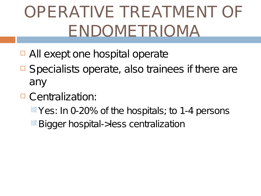# OPERATIVE TREATMENT OF ENDOMETRIOMA

- □ All exept one hospital operate
- $\Box$  Specialists operate, also trainees if there are any
- □ Centralization:
	- $\frac{1}{2}$  Yes: In 0-20% of the hospitals; to 1-4 persons
	- <sup>嬪</sup> Bigger hospital->less centralization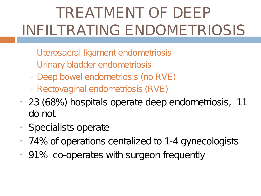### TREATMENT OF DEEP INFILTRATING ENDOMETRIOSIS

- Uterosacral ligament endometriosis
- Urinary bladder endometriosis
- Deep bowel endometriosis (no RVE)
- Rectovaginal endometriosis (RVE)
- 23 (68%) hospitals operate deep endometriosis, 11 do not
- Specialists operate
- 74% of operations centalized to 1-4 gynecologists
- 91% co-operates with surgeon frequently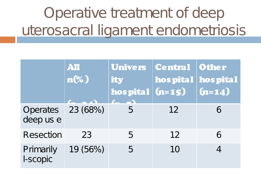### Operative treatment of deep uterosacral ligament endometriosis

|                                | AII<br>$n\%$ | ity | Univers Central Other<br>hos pital hos pital<br>hospital (n=15) (n=14) |   |
|--------------------------------|--------------|-----|------------------------------------------------------------------------|---|
| Operates 23 (68%)<br>deep us e |              |     | 12                                                                     | 6 |
| Resection                      | 23           | 5   | 12                                                                     | 6 |
| Primarily<br>I-scopic          | 19 (56%)     |     | 10                                                                     |   |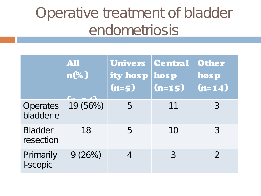### Operative treatment of bladder endometriosis

|                              | AII<br>$n\%$ | Univers Central<br>ity hosp hosp<br>$(n=5)$ | $(n=15)$ | Other<br>hosp<br>$(n=14)$ |
|------------------------------|--------------|---------------------------------------------|----------|---------------------------|
| <b>Operates</b><br>bladder e | 19 (56%)     | 5                                           | 11       | 3                         |
| <b>Bladder</b><br>resection  | 18           | 5                                           | 10       | 3                         |
| Primarily<br>I-scopic        | 9(26%)       |                                             | 3        | $\mathcal{P}$             |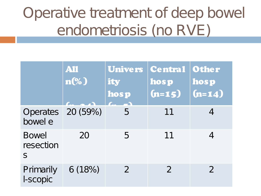### Operative treatment of deep bowel endometriosis (no RVE)

|                                           | AII<br>$n\%$ | ity<br>hosp | Univers Central Other<br>hosp<br>$(n=15)$ | hosp<br>$(n=14)$ |
|-------------------------------------------|--------------|-------------|-------------------------------------------|------------------|
| Operates 20 (59%)<br>bowel e              |              | 5           | 11                                        |                  |
| <b>Bowel</b><br>resection<br>$\mathsf{S}$ | 20           | 5           | 11                                        |                  |
| Primarily<br>I-scopic                     | 6(18%)       | 2           | $\mathcal{P}$                             | $\mathcal{P}$    |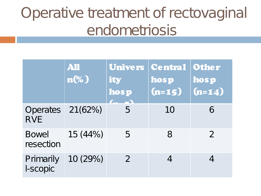### Operative treatment of rectovaginal endometriosis

|                               | All<br>$n\%$ | ity<br>hosp   | Univers Central Other<br>hosp<br>$(n=15)$ | hosp<br>$(n=14)$ |
|-------------------------------|--------------|---------------|-------------------------------------------|------------------|
| <b>Operates</b><br><b>RVE</b> | 21(62%)      | 5             | 10                                        | 6                |
| <b>Bowel</b><br>resection     | 15 (44%)     | 5             | 8                                         | $\mathcal{P}$    |
| Primarily<br>I-scopic         | 10 (29%)     | $\mathcal{P}$ |                                           |                  |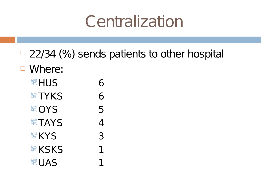## **Centralization**

- $\Box$  22/34 (%) sends patients to other hospital
- □ Where:
	- 嬪 HUS 6
	- **嬪 TYKS 6**
	- 嬪 OYS 5
	- 嬪 TAYS 4
	- 嬪 KYS 3
	- 嬪 KSKS 2001
	- 嬪 UAS 1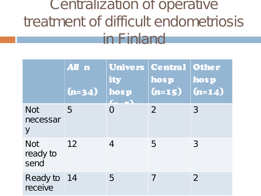#### Centralization of operative treatment of difficult endometriosis in Finland

|                                | All n<br>$(n=34)$ | ity<br>hosp                | Univers   Central   Other<br>hosp<br>$(n=15)$ | hosp<br>$(n=14)$ |
|--------------------------------|-------------------|----------------------------|-----------------------------------------------|------------------|
| <b>Not</b><br>necessar<br>y    | 5                 | O                          | $\overline{2}$                                | 3                |
| <b>Not</b><br>ready to<br>send | 12                | $\boldsymbol{\mathcal{A}}$ | 5                                             | 3                |
| Ready to 14<br>receive         |                   | 5.                         | 7                                             | $\overline{2}$   |